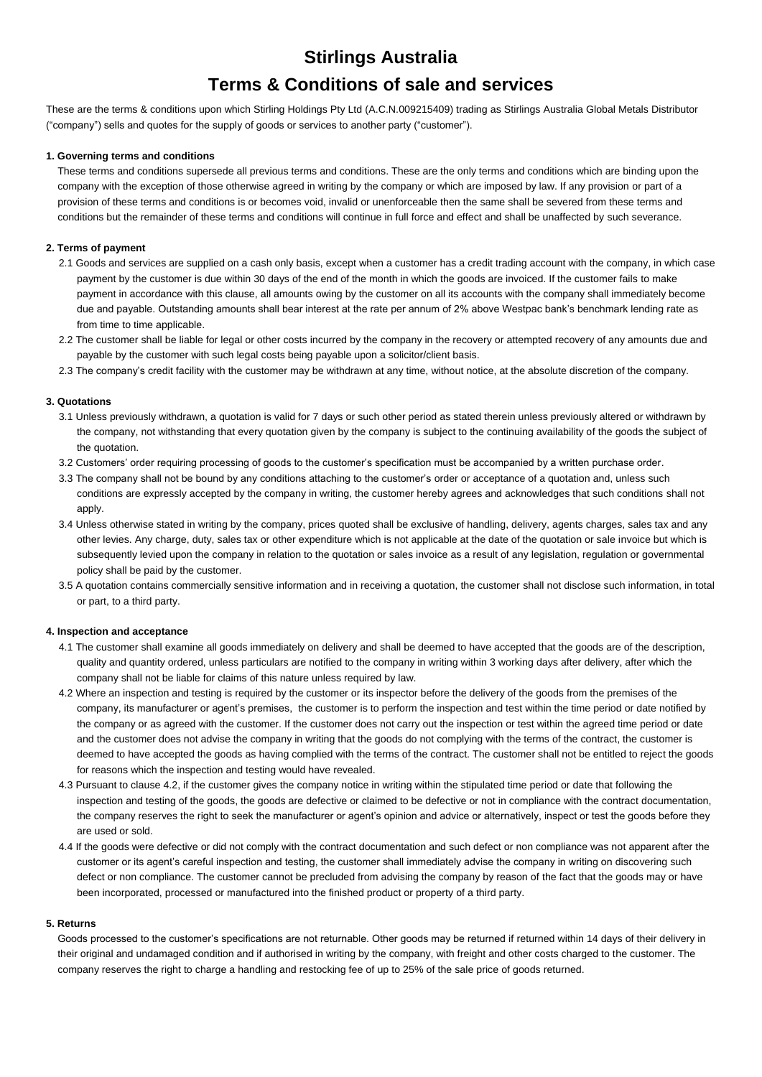## **Stirlings Australia**

# **Terms & Conditions of sale and services**

These are the terms & conditions upon which Stirling Holdings Pty Ltd (A.C.N.009215409) trading as Stirlings Australia Global Metals Distributor ("company") sells and quotes for the supply of goods or services to another party ("customer").

## **1. Governing terms and conditions**

These terms and conditions supersede all previous terms and conditions. These are the only terms and conditions which are binding upon the company with the exception of those otherwise agreed in writing by the company or which are imposed by law. If any provision or part of a provision of these terms and conditions is or becomes void, invalid or unenforceable then the same shall be severed from these terms and conditions but the remainder of these terms and conditions will continue in full force and effect and shall be unaffected by such severance.

## **2. Terms of payment**

- 2.1 Goods and services are supplied on a cash only basis, except when a customer has a credit trading account with the company, in which case payment by the customer is due within 30 days of the end of the month in which the goods are invoiced. If the customer fails to make payment in accordance with this clause, all amounts owing by the customer on all its accounts with the company shall immediately become due and payable. Outstanding amounts shall bear interest at the rate per annum of 2% above Westpac bank's benchmark lending rate as from time to time applicable.
- 2.2 The customer shall be liable for legal or other costs incurred by the company in the recovery or attempted recovery of any amounts due and payable by the customer with such legal costs being payable upon a solicitor/client basis.
- 2.3 The company's credit facility with the customer may be withdrawn at any time, without notice, at the absolute discretion of the company.

## **3. Quotations**

- 3.1 Unless previously withdrawn, a quotation is valid for 7 days or such other period as stated therein unless previously altered or withdrawn by the company, not withstanding that every quotation given by the company is subject to the continuing availability of the goods the subject of the quotation.
- 3.2 Customers' order requiring processing of goods to the customer's specification must be accompanied by a written purchase order.
- 3.3 The company shall not be bound by any conditions attaching to the customer's order or acceptance of a quotation and, unless such conditions are expressly accepted by the company in writing, the customer hereby agrees and acknowledges that such conditions shall not apply.
- 3.4 Unless otherwise stated in writing by the company, prices quoted shall be exclusive of handling, delivery, agents charges, sales tax and any other levies. Any charge, duty, sales tax or other expenditure which is not applicable at the date of the quotation or sale invoice but which is subsequently levied upon the company in relation to the quotation or sales invoice as a result of any legislation, regulation or governmental policy shall be paid by the customer.
- 3.5 A quotation contains commercially sensitive information and in receiving a quotation, the customer shall not disclose such information, in total or part, to a third party.

## **4. Inspection and acceptance**

- 4.1 The customer shall examine all goods immediately on delivery and shall be deemed to have accepted that the goods are of the description, quality and quantity ordered, unless particulars are notified to the company in writing within 3 working days after delivery, after which the company shall not be liable for claims of this nature unless required by law.
- 4.2 Where an inspection and testing is required by the customer or its inspector before the delivery of the goods from the premises of the company, its manufacturer or agent's premises, the customer is to perform the inspection and test within the time period or date notified by the company or as agreed with the customer. If the customer does not carry out the inspection or test within the agreed time period or date and the customer does not advise the company in writing that the goods do not complying with the terms of the contract, the customer is deemed to have accepted the goods as having complied with the terms of the contract. The customer shall not be entitled to reject the goods for reasons which the inspection and testing would have revealed.
- 4.3 Pursuant to clause 4.2, if the customer gives the company notice in writing within the stipulated time period or date that following the inspection and testing of the goods, the goods are defective or claimed to be defective or not in compliance with the contract documentation, the company reserves the right to seek the manufacturer or agent's opinion and advice or alternatively, inspect or test the goods before they are used or sold.
- 4.4 If the goods were defective or did not comply with the contract documentation and such defect or non compliance was not apparent after the customer or its agent's careful inspection and testing, the customer shall immediately advise the company in writing on discovering such defect or non compliance. The customer cannot be precluded from advising the company by reason of the fact that the goods may or have been incorporated, processed or manufactured into the finished product or property of a third party.

## **5. Returns**

Goods processed to the customer's specifications are not returnable. Other goods may be returned if returned within 14 days of their delivery in their original and undamaged condition and if authorised in writing by the company, with freight and other costs charged to the customer. The company reserves the right to charge a handling and restocking fee of up to 25% of the sale price of goods returned.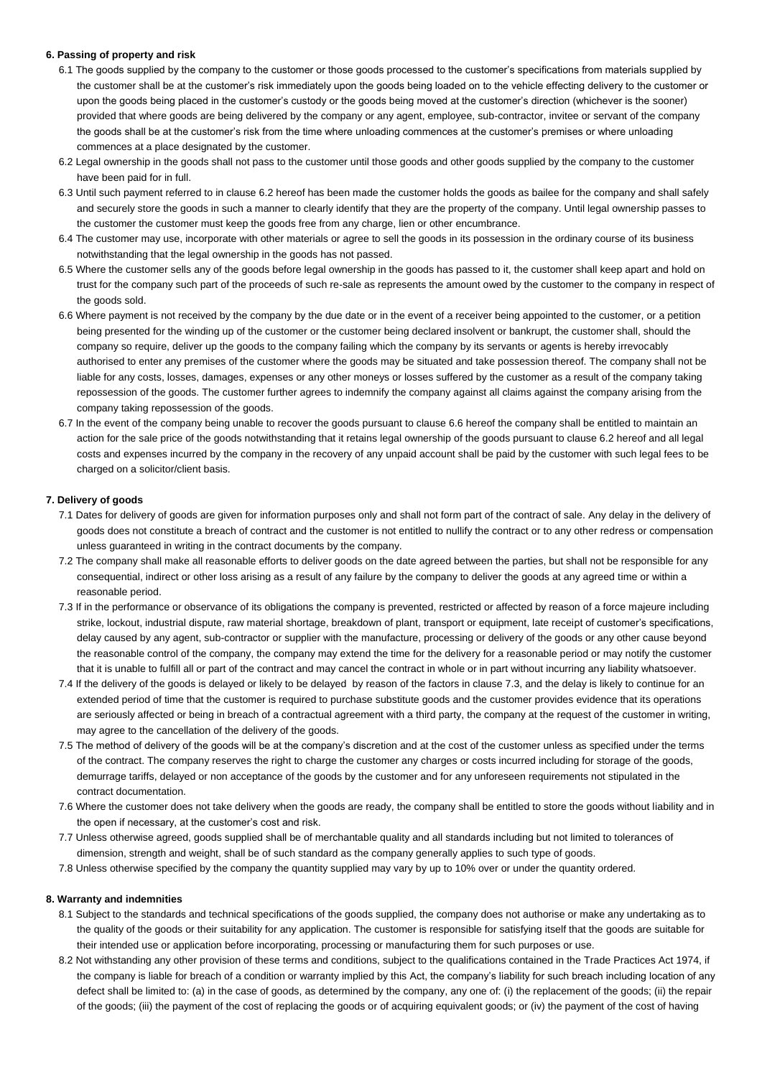## **6. Passing of property and risk**

- 6.1 The goods supplied by the company to the customer or those goods processed to the customer's specifications from materials supplied by the customer shall be at the customer's risk immediately upon the goods being loaded on to the vehicle effecting delivery to the customer or upon the goods being placed in the customer's custody or the goods being moved at the customer's direction (whichever is the sooner) provided that where goods are being delivered by the company or any agent, employee, sub-contractor, invitee or servant of the company the goods shall be at the customer's risk from the time where unloading commences at the customer's premises or where unloading commences at a place designated by the customer.
- 6.2 Legal ownership in the goods shall not pass to the customer until those goods and other goods supplied by the company to the customer have been paid for in full.
- 6.3 Until such payment referred to in clause 6.2 hereof has been made the customer holds the goods as bailee for the company and shall safely and securely store the goods in such a manner to clearly identify that they are the property of the company. Until legal ownership passes to the customer the customer must keep the goods free from any charge, lien or other encumbrance.
- 6.4 The customer may use, incorporate with other materials or agree to sell the goods in its possession in the ordinary course of its business notwithstanding that the legal ownership in the goods has not passed.
- 6.5 Where the customer sells any of the goods before legal ownership in the goods has passed to it, the customer shall keep apart and hold on trust for the company such part of the proceeds of such re-sale as represents the amount owed by the customer to the company in respect of the goods sold.
- 6.6 Where payment is not received by the company by the due date or in the event of a receiver being appointed to the customer, or a petition being presented for the winding up of the customer or the customer being declared insolvent or bankrupt, the customer shall, should the company so require, deliver up the goods to the company failing which the company by its servants or agents is hereby irrevocably authorised to enter any premises of the customer where the goods may be situated and take possession thereof. The company shall not be liable for any costs, losses, damages, expenses or any other moneys or losses suffered by the customer as a result of the company taking repossession of the goods. The customer further agrees to indemnify the company against all claims against the company arising from the company taking repossession of the goods.
- 6.7 In the event of the company being unable to recover the goods pursuant to clause 6.6 hereof the company shall be entitled to maintain an action for the sale price of the goods notwithstanding that it retains legal ownership of the goods pursuant to clause 6.2 hereof and all legal costs and expenses incurred by the company in the recovery of any unpaid account shall be paid by the customer with such legal fees to be charged on a solicitor/client basis.

## **7. Delivery of goods**

- 7.1 Dates for delivery of goods are given for information purposes only and shall not form part of the contract of sale. Any delay in the delivery of goods does not constitute a breach of contract and the customer is not entitled to nullify the contract or to any other redress or compensation unless guaranteed in writing in the contract documents by the company.
- 7.2 The company shall make all reasonable efforts to deliver goods on the date agreed between the parties, but shall not be responsible for any consequential, indirect or other loss arising as a result of any failure by the company to deliver the goods at any agreed time or within a reasonable period.
- 7.3 If in the performance or observance of its obligations the company is prevented, restricted or affected by reason of a force majeure including strike, lockout, industrial dispute, raw material shortage, breakdown of plant, transport or equipment, late receipt of customer's specifications, delay caused by any agent, sub-contractor or supplier with the manufacture, processing or delivery of the goods or any other cause beyond the reasonable control of the company, the company may extend the time for the delivery for a reasonable period or may notify the customer that it is unable to fulfill all or part of the contract and may cancel the contract in whole or in part without incurring any liability whatsoever.
- 7.4 If the delivery of the goods is delayed or likely to be delayed by reason of the factors in clause 7.3, and the delay is likely to continue for an extended period of time that the customer is required to purchase substitute goods and the customer provides evidence that its operations are seriously affected or being in breach of a contractual agreement with a third party, the company at the request of the customer in writing, may agree to the cancellation of the delivery of the goods.
- 7.5 The method of delivery of the goods will be at the company's discretion and at the cost of the customer unless as specified under the terms of the contract. The company reserves the right to charge the customer any charges or costs incurred including for storage of the goods, demurrage tariffs, delayed or non acceptance of the goods by the customer and for any unforeseen requirements not stipulated in the contract documentation.
- 7.6 Where the customer does not take delivery when the goods are ready, the company shall be entitled to store the goods without liability and in the open if necessary, at the customer's cost and risk.
- 7.7 Unless otherwise agreed, goods supplied shall be of merchantable quality and all standards including but not limited to tolerances of dimension, strength and weight, shall be of such standard as the company generally applies to such type of goods.
- 7.8 Unless otherwise specified by the company the quantity supplied may vary by up to 10% over or under the quantity ordered.

## **8. Warranty and indemnities**

- 8.1 Subject to the standards and technical specifications of the goods supplied, the company does not authorise or make any undertaking as to the quality of the goods or their suitability for any application. The customer is responsible for satisfying itself that the goods are suitable for their intended use or application before incorporating, processing or manufacturing them for such purposes or use.
- 8.2 Not withstanding any other provision of these terms and conditions, subject to the qualifications contained in the Trade Practices Act 1974, if the company is liable for breach of a condition or warranty implied by this Act, the company's liability for such breach including location of any defect shall be limited to: (a) in the case of goods, as determined by the company, any one of: (i) the replacement of the goods; (ii) the repair of the goods; (iii) the payment of the cost of replacing the goods or of acquiring equivalent goods; or (iv) the payment of the cost of having